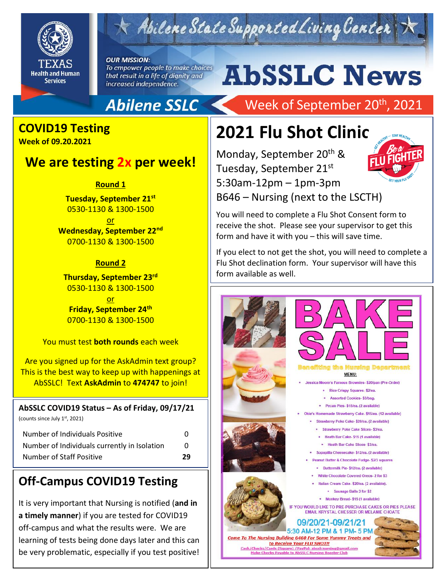

# Abilene State Supported Living Center

**OUR MISSION:** To empower people to make choices that result in a life of dignity and increased independence.

# **AbSSLC News**

## **Abilene SSLC**

## **COVID19 Testing**

**Week of 09.20.2021**

### **We are testing 2x per week!**

**Round 1**

**Tuesday, September 21st** 0530-1130 & 1300-1500

or **Wednesday, September 22nd** 0700-1130 & 1300-1500

#### **Round 2**

**Thursday, September 23rd** 0530-1130 & 1300-1500 or **Friday, September 24th** 0700-1130 & 1300-1500

You must test **both rounds** each week

Are you signed up for the AskAdmin text group? This is the best way to keep up with happenings at AbSSLC! Text **AskAdmin** to **474747** to join!

#### **AbSSLC COVID19 Status – As of Friday, 09/17/21**

(counts since July 1st, 2021)

| Number of Individuals Positive               | O  |
|----------------------------------------------|----|
| Number of Individuals currently in Isolation | n  |
| Number of Staff Positive                     | 29 |

## **Off-Campus COVID19 Testing**

It is very important that Nursing is notified (**and in a timely manner**) if you are tested for COVID19 off-campus and what the results were. We are learning of tests being done days later and this can be very problematic, especially if you test positive!

# Week of September 20<sup>th</sup>, 2021

# **2021 Flu Shot Clinic**

Monday, September 20<sup>th</sup> & Tuesday, September 21st 5:30am-12pm – 1pm-3pm B646 – Nursing (next to the LSCTH)



You will need to complete a Flu Shot Consent form to receive the shot. Please see your supervisor to get this form and have it with you – this will save time.

If you elect to not get the shot, you will need to complete a Flu Shot declination form. Your supervisor will have this form available as well.